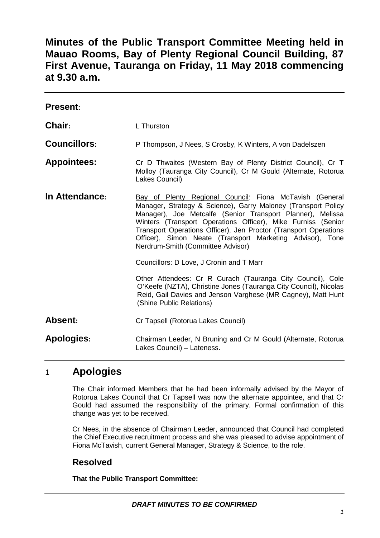# **Minutes of the Public Transport Committee Meeting held in Mauao Rooms, Bay of Plenty Regional Council Building, 87 First Avenue, Tauranga on Friday, 11 May 2018 commencing at 9.30 a.m.**

| <b>Present:</b>     |                                                                                                                                                                                                                                                                                                                                                                                                                              |  |
|---------------------|------------------------------------------------------------------------------------------------------------------------------------------------------------------------------------------------------------------------------------------------------------------------------------------------------------------------------------------------------------------------------------------------------------------------------|--|
| Chair:              | L Thurston                                                                                                                                                                                                                                                                                                                                                                                                                   |  |
| <b>Councillors:</b> | P Thompson, J Nees, S Crosby, K Winters, A von Dadelszen                                                                                                                                                                                                                                                                                                                                                                     |  |
| <b>Appointees:</b>  | Cr D Thwaites (Western Bay of Plenty District Council), Cr T<br>Molloy (Tauranga City Council), Cr M Gould (Alternate, Rotorua<br>Lakes Council)                                                                                                                                                                                                                                                                             |  |
| In Attendance:      | Bay of Plenty Regional Council: Fiona McTavish (General<br>Manager, Strategy & Science), Garry Maloney (Transport Policy<br>Manager), Joe Metcalfe (Senior Transport Planner), Melissa<br>Winters (Transport Operations Officer), Mike Furniss (Senior<br>Transport Operations Officer), Jen Proctor (Transport Operations<br>Officer), Simon Neate (Transport Marketing Advisor), Tone<br>Nerdrum-Smith (Committee Advisor) |  |
|                     | Councillors: D Love, J Cronin and T Marr                                                                                                                                                                                                                                                                                                                                                                                     |  |
|                     | Other Attendees: Cr R Curach (Tauranga City Council), Cole<br>O'Keefe (NZTA), Christine Jones (Tauranga City Council), Nicolas<br>Reid, Gail Davies and Jenson Varghese (MR Cagney), Matt Hunt<br>(Shine Public Relations)                                                                                                                                                                                                   |  |
| Absent:             | Cr Tapsell (Rotorua Lakes Council)                                                                                                                                                                                                                                                                                                                                                                                           |  |
| <b>Apologies:</b>   | Chairman Leeder, N Bruning and Cr M Gould (Alternate, Rotorua<br>Lakes Council) - Lateness.                                                                                                                                                                                                                                                                                                                                  |  |

# 1 **Apologies**

The Chair informed Members that he had been informally advised by the Mayor of Rotorua Lakes Council that Cr Tapsell was now the alternate appointee, and that Cr Gould had assumed the responsibility of the primary. Formal confirmation of this change was yet to be received.

Cr Nees, in the absence of Chairman Leeder, announced that Council had completed the Chief Executive recruitment process and she was pleased to advise appointment of Fiona McTavish, current General Manager, Strategy & Science, to the role.

# **Resolved**

**That the Public Transport Committee:**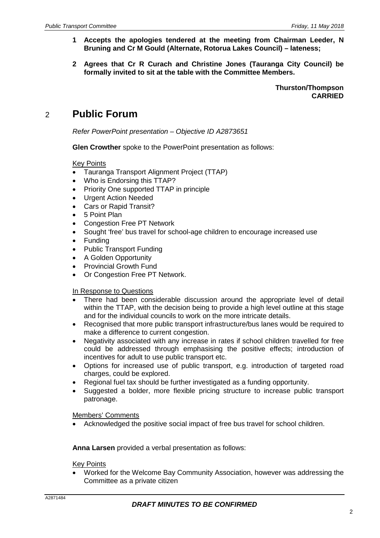- **1 Accepts the apologies tendered at the meeting from Chairman Leeder, N Bruning and Cr M Gould (Alternate, Rotorua Lakes Council) – lateness;**
- **2 Agrees that Cr R Curach and Christine Jones (Tauranga City Council) be formally invited to sit at the table with the Committee Members.**

**Thurston/Thompson CARRIED**

# 2 **Public Forum**

*Refer PowerPoint presentation – Objective ID A2873651*

**Glen Crowther** spoke to the PowerPoint presentation as follows:

#### Key Points

- Tauranga Transport Alignment Project (TTAP)
- Who is Endorsing this TTAP?
- Priority One supported TTAP in principle
- Urgent Action Needed
- Cars or Rapid Transit?
- 5 Point Plan
- Congestion Free PT Network
- Sought 'free' bus travel for school-age children to encourage increased use
- **Funding**
- Public Transport Funding
- A Golden Opportunity
- Provincial Growth Fund
- Or Congestion Free PT Network.

#### In Response to Questions

- There had been considerable discussion around the appropriate level of detail within the TTAP, with the decision being to provide a high level outline at this stage and for the individual councils to work on the more intricate details.
- Recognised that more public transport infrastructure/bus lanes would be required to make a difference to current congestion.
- Negativity associated with any increase in rates if school children travelled for free could be addressed through emphasising the positive effects; introduction of incentives for adult to use public transport etc.
- Options for increased use of public transport, e.g. introduction of targeted road charges, could be explored.
- Regional fuel tax should be further investigated as a funding opportunity.
- Suggested a bolder, more flexible pricing structure to increase public transport patronage.

#### Members' Comments

• Acknowledged the positive social impact of free bus travel for school children.

#### **Anna Larsen** provided a verbal presentation as follows:

#### Key Points

• Worked for the Welcome Bay Community Association, however was addressing the Committee as a private citizen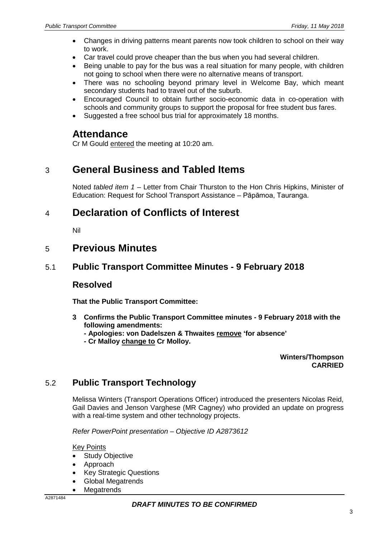- Changes in driving patterns meant parents now took children to school on their way to work.
- Car travel could prove cheaper than the bus when you had several children.
- Being unable to pay for the bus was a real situation for many people, with children not going to school when there were no alternative means of transport.
- There was no schooling beyond primary level in Welcome Bay, which meant secondary students had to travel out of the suburb.
- Encouraged Council to obtain further socio-economic data in co-operation with schools and community groups to support the proposal for free student bus fares.
- Suggested a free school bus trial for approximately 18 months.

### **Attendance**

Cr M Gould entered the meeting at 10:20 am.

# 3 **General Business and Tabled Items**

Noted *tabled item 1* – Letter from Chair Thurston to the Hon Chris Hipkins, Minister of Education: Request for School Transport Assistance – Pāpāmoa, Tauranga.

# 4 **Declaration of Conflicts of Interest**

Nil

### 5 **Previous Minutes**

### 5.1 **Public Transport Committee Minutes - 9 February 2018**

### **Resolved**

**That the Public Transport Committee:**

- **3 Confirms the Public Transport Committee minutes - 9 February 2018 with the following amendments:**
	- **- Apologies: von Dadelszen & Thwaites remove 'for absence'**
	- **- Cr Malloy change to Cr Molloy.**

**Winters/Thompson CARRIED**

# 5.2 **Public Transport Technology**

Melissa Winters (Transport Operations Officer) introduced the presenters Nicolas Reid, Gail Davies and Jenson Varghese (MR Cagney) who provided an update on progress with a real-time system and other technology projects.

*Refer PowerPoint presentation – Objective ID A2873612*

Key Points

- **Study Objective**
- Approach
- **Key Strategic Questions**
- Global Megatrends
- Megatrends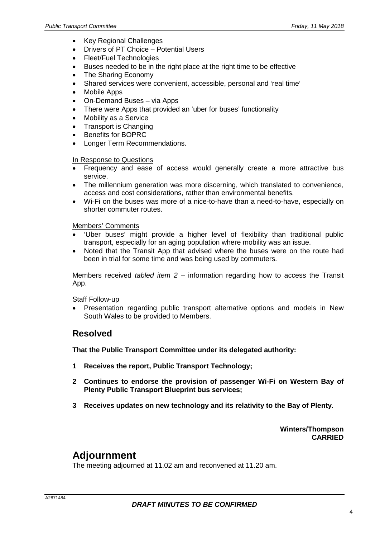- Key Regional Challenges
- Drivers of PT Choice Potential Users
- Fleet/Fuel Technologies
- Buses needed to be in the right place at the right time to be effective
- The Sharing Economy
- Shared services were convenient, accessible, personal and 'real time'
- Mobile Apps
- On-Demand Buses via Apps
- There were Apps that provided an 'uber for buses' functionality
- Mobility as a Service
- Transport is Changing
- Benefits for BOPRC
- Longer Term Recommendations.

#### In Response to Questions

- Frequency and ease of access would generally create a more attractive bus service.
- The millennium generation was more discerning, which translated to convenience, access and cost considerations, rather than environmental benefits.
- Wi-Fi on the buses was more of a nice-to-have than a need-to-have, especially on shorter commuter routes.

#### Members' Comments

- 'Uber buses' might provide a higher level of flexibility than traditional public transport, especially for an aging population where mobility was an issue.
- Noted that the Transit App that advised where the buses were on the route had been in trial for some time and was being used by commuters.

Members received *tabled item 2* – information regarding how to access the Transit App.

#### Staff Follow-up

• Presentation regarding public transport alternative options and models in New South Wales to be provided to Members.

### **Resolved**

**That the Public Transport Committee under its delegated authority:**

- **1 Receives the report, Public Transport Technology;**
- **2 Continues to endorse the provision of passenger Wi-Fi on Western Bay of Plenty Public Transport Blueprint bus services;**
- **3 Receives updates on new technology and its relativity to the Bay of Plenty.**

**Winters/Thompson CARRIED**

# **Adjournment**

The meeting adjourned at 11.02 am and reconvened at 11.20 am.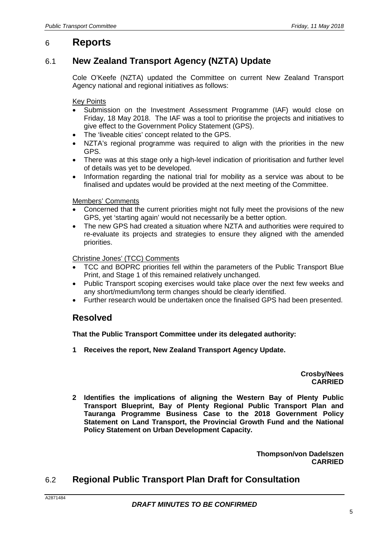# 6 **Reports**

# 6.1 **New Zealand Transport Agency (NZTA) Update**

Cole O'Keefe (NZTA) updated the Committee on current New Zealand Transport Agency national and regional initiatives as follows:

#### Key Points

- Submission on the Investment Assessment Programme (IAF) would close on Friday, 18 May 2018. The IAF was a tool to prioritise the projects and initiatives to give effect to the Government Policy Statement (GPS).
- The 'liveable cities' concept related to the GPS.
- NZTA's regional programme was required to align with the priorities in the new GPS.
- There was at this stage only a high-level indication of prioritisation and further level of details was yet to be developed.
- Information regarding the national trial for mobility as a service was about to be finalised and updates would be provided at the next meeting of the Committee.

#### Members' Comments

- Concerned that the current priorities might not fully meet the provisions of the new GPS, yet 'starting again' would not necessarily be a better option.
- The new GPS had created a situation where NZTA and authorities were required to re-evaluate its projects and strategies to ensure they aligned with the amended priorities.

#### Christine Jones' (TCC) Comments

- TCC and BOPRC priorities fell within the parameters of the Public Transport Blue Print, and Stage 1 of this remained relatively unchanged.
- Public Transport scoping exercises would take place over the next few weeks and any short/medium/long term changes should be clearly identified.
- Further research would be undertaken once the finalised GPS had been presented.

### **Resolved**

#### **That the Public Transport Committee under its delegated authority:**

**1 Receives the report, New Zealand Transport Agency Update.**

**Crosby/Nees CARRIED**

**2 Identifies the implications of aligning the Western Bay of Plenty Public Transport Blueprint, Bay of Plenty Regional Public Transport Plan and Tauranga Programme Business Case to the 2018 Government Policy Statement on Land Transport, the Provincial Growth Fund and the National Policy Statement on Urban Development Capacity.**

> **Thompson/von Dadelszen CARRIED**

# 6.2 **Regional Public Transport Plan Draft for Consultation**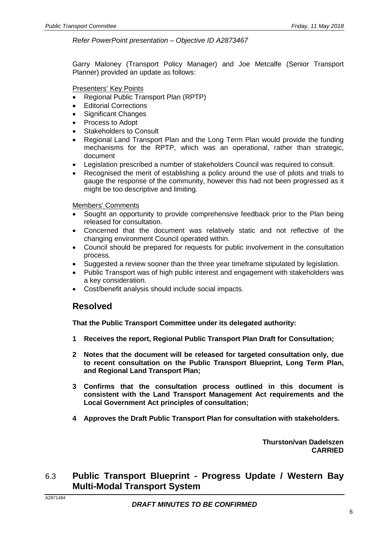#### *Refer PowerPoint presentation – Objective ID A2873467*

Garry Maloney (Transport Policy Manager) and Joe Metcalfe (Senior Transport Planner) provided an update as follows:

#### Presenters' Key Points

- Regional Public Transport Plan (RPTP)
- **Editorial Corrections**
- Significant Changes
- Process to Adopt
- **Stakeholders to Consult**
- Regional Land Transport Plan and the Long Term Plan would provide the funding mechanisms for the RPTP, which was an operational, rather than strategic, document
- Legislation prescribed a number of stakeholders Council was required to consult.
- Recognised the merit of establishing a policy around the use of pilots and trials to gauge the response of the community, however this had not been progressed as it might be too descriptive and limiting.

#### Members' Comments

- Sought an opportunity to provide comprehensive feedback prior to the Plan being released for consultation.
- Concerned that the document was relatively static and not reflective of the changing environment Council operated within.
- Council should be prepared for requests for public involvement in the consultation process.
- Suggested a review sooner than the three year timeframe stipulated by legislation.
- Public Transport was of high public interest and engagement with stakeholders was a key consideration.
- Cost/benefit analysis should include social impacts.

### **Resolved**

**That the Public Transport Committee under its delegated authority:**

- **1 Receives the report, Regional Public Transport Plan Draft for Consultation;**
- **2 Notes that the document will be released for targeted consultation only, due to recent consultation on the Public Transport Blueprint, Long Term Plan, and Regional Land Transport Plan;**
- **3 Confirms that the consultation process outlined in this document is consistent with the Land Transport Management Act requirements and the Local Government Act principles of consultation;**
- **4 Approves the Draft Public Transport Plan for consultation with stakeholders.**

**Thurston/van Dadelszen CARRIED**

### 6.3 **Public Transport Blueprint - Progress Update / Western Bay Multi-Modal Transport System**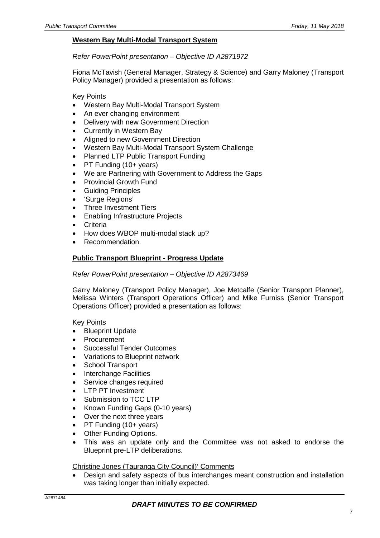#### **Western Bay Multi-Modal Transport System**

#### *Refer PowerPoint presentation – Objective ID A2871972*

Fiona McTavish (General Manager, Strategy & Science) and Garry Maloney (Transport Policy Manager) provided a presentation as follows:

#### Key Points

- Western Bay Multi-Modal Transport System
- An ever changing environment
- Delivery with new Government Direction
- Currently in Western Bay
- Aligned to new Government Direction
- Western Bay Multi-Modal Transport System Challenge
- Planned LTP Public Transport Funding
- PT Funding (10+ years)
- We are Partnering with Government to Address the Gaps
- Provincial Growth Fund
- Guiding Principles
- 'Surge Regions'
- Three Investment Tiers
- Enabling Infrastructure Projects
- **Criteria**
- How does WBOP multi-modal stack up?
- Recommendation.

#### **Public Transport Blueprint - Progress Update**

#### *Refer PowerPoint presentation – Objective ID A2873469*

Garry Maloney (Transport Policy Manager), Joe Metcalfe (Senior Transport Planner), Melissa Winters (Transport Operations Officer) and Mike Furniss (Senior Transport Operations Officer) provided a presentation as follows:

#### Key Points

- **Blueprint Update**
- Procurement
- Successful Tender Outcomes
- Variations to Blueprint network
- School Transport
- Interchange Facilities
- Service changes required
- LTP PT Investment
- Submission to TCC LTP
- Known Funding Gaps (0-10 years)
- Over the next three years
- PT Funding (10+ years)
- **Other Funding Options.**
- This was an update only and the Committee was not asked to endorse the Blueprint pre-LTP deliberations.

#### Christine Jones (Tauranga City Council)' Comments

• Design and safety aspects of bus interchanges meant construction and installation was taking longer than initially expected.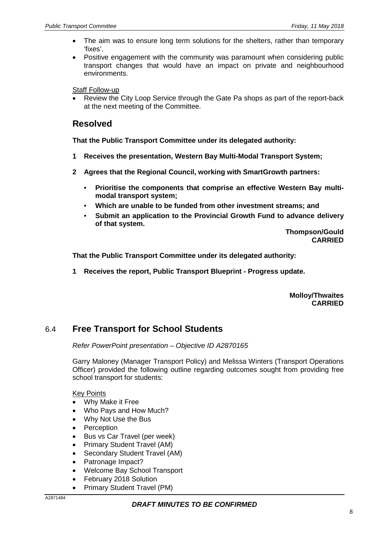- The aim was to ensure long term solutions for the shelters, rather than temporary 'fixes'.
- Positive engagement with the community was paramount when considering public transport changes that would have an impact on private and neighbourhood environments.

#### Staff Follow-up

• Review the City Loop Service through the Gate Pa shops as part of the report-back at the next meeting of the Committee.

### **Resolved**

**That the Public Transport Committee under its delegated authority:**

- **1 Receives the presentation, Western Bay Multi-Modal Transport System;**
- **2 Agrees that the Regional Council, working with SmartGrowth partners:**
	- **Prioritise the components that comprise an effective Western Bay multimodal transport system;**
	- **Which are unable to be funded from other investment streams; and**
	- **Submit an application to the Provincial Growth Fund to advance delivery of that system.**

**Thompson/Gould CARRIED**

**That the Public Transport Committee under its delegated authority:**

**1 Receives the report, Public Transport Blueprint - Progress update.**

**Molloy/Thwaites CARRIED**

### 6.4 **Free Transport for School Students**

*Refer PowerPoint presentation – Objective ID A2870165*

Garry Maloney (Manager Transport Policy) and Melissa Winters (Transport Operations Officer) provided the following outline regarding outcomes sought from providing free school transport for students:

#### Key Points

- Why Make it Free
- Who Pays and How Much?
- Why Not Use the Bus
- Perception
- Bus vs Car Travel (per week)
- Primary Student Travel (AM)
- Secondary Student Travel (AM)
- Patronage Impact?
- Welcome Bay School Transport
- February 2018 Solution
- Primary Student Travel (PM)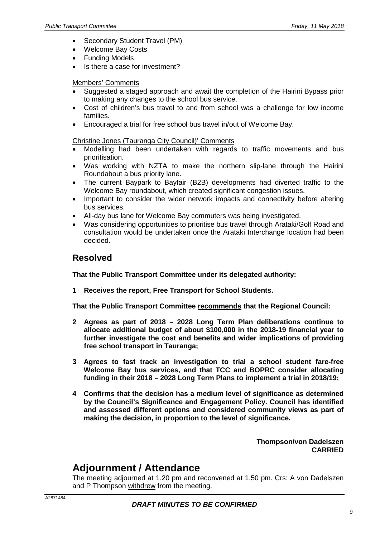- Secondary Student Travel (PM)
- Welcome Bay Costs
- Funding Models
- Is there a case for investment?

#### Members' Comments

- Suggested a staged approach and await the completion of the Hairini Bypass prior to making any changes to the school bus service.
- Cost of children's bus travel to and from school was a challenge for low income families.
- Encouraged a trial for free school bus travel in/out of Welcome Bay.

Christine Jones (Tauranga City Council)' Comments

- Modelling had been undertaken with regards to traffic movements and bus prioritisation.
- Was working with NZTA to make the northern slip-lane through the Hairini Roundabout a bus priority lane.
- The current Baypark to Bayfair (B2B) developments had diverted traffic to the Welcome Bay roundabout, which created significant congestion issues.
- Important to consider the wider network impacts and connectivity before altering bus services.
- All-day bus lane for Welcome Bay commuters was being investigated.
- Was considering opportunities to prioritise bus travel through Arataki/Golf Road and consultation would be undertaken once the Arataki Interchange location had been decided.

### **Resolved**

**That the Public Transport Committee under its delegated authority:**

**1 Receives the report, Free Transport for School Students.**

**That the Public Transport Committee recommends that the Regional Council:**

- **2 Agrees as part of 2018 – 2028 Long Term Plan deliberations continue to allocate additional budget of about \$100,000 in the 2018-19 financial year to further investigate the cost and benefits and wider implications of providing free school transport in Tauranga;**
- **3 Agrees to fast track an investigation to trial a school student fare-free Welcome Bay bus services, and that TCC and BOPRC consider allocating funding in their 2018 – 2028 Long Term Plans to implement a trial in 2018/19;**
- **4 Confirms that the decision has a medium level of significance as determined by the Council's Significance and Engagement Policy. Council has identified and assessed different options and considered community views as part of making the decision, in proportion to the level of significance.**

**Thompson/von Dadelszen CARRIED**

# **Adjournment / Attendance**

The meeting adjourned at 1.20 pm and reconvened at 1.50 pm. Crs: A von Dadelszen and P Thompson withdrew from the meeting.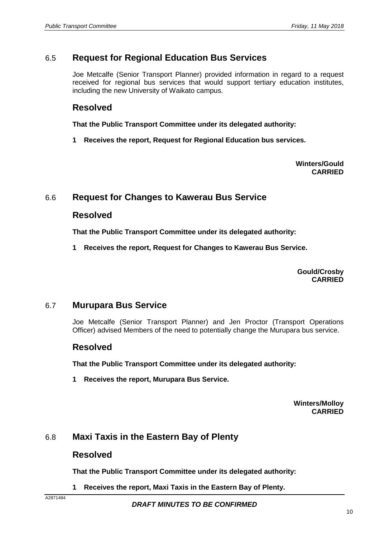### 6.5 **Request for Regional Education Bus Services**

Joe Metcalfe (Senior Transport Planner) provided information in regard to a request received for regional bus services that would support tertiary education institutes, including the new University of Waikato campus.

### **Resolved**

**That the Public Transport Committee under its delegated authority:**

**1 Receives the report, Request for Regional Education bus services.**

**Winters/Gould CARRIED**

### 6.6 **Request for Changes to Kawerau Bus Service**

### **Resolved**

**That the Public Transport Committee under its delegated authority:**

**1 Receives the report, Request for Changes to Kawerau Bus Service.**

**Gould/Crosby CARRIED**

### 6.7 **Murupara Bus Service**

Joe Metcalfe (Senior Transport Planner) and Jen Proctor (Transport Operations Officer) advised Members of the need to potentially change the Murupara bus service.

### **Resolved**

**That the Public Transport Committee under its delegated authority:**

**1 Receives the report, Murupara Bus Service.**

**Winters/Molloy CARRIED**

### 6.8 **Maxi Taxis in the Eastern Bay of Plenty**

### **Resolved**

**That the Public Transport Committee under its delegated authority:**

**1 Receives the report, Maxi Taxis in the Eastern Bay of Plenty.**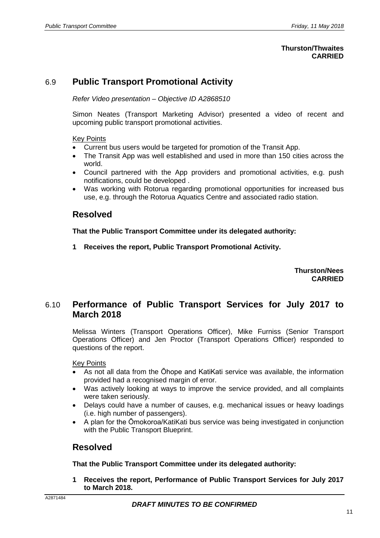#### **Thurston/Thwaites CARRIED**

## 6.9 **Public Transport Promotional Activity**

*Refer Video presentation – Objective ID A2868510*

Simon Neates (Transport Marketing Advisor) presented a video of recent and upcoming public transport promotional activities.

#### Key Points

- Current bus users would be targeted for promotion of the Transit App.
- The Transit App was well established and used in more than 150 cities across the world.
- Council partnered with the App providers and promotional activities, e.g. push notifications, could be developed .
- Was working with Rotorua regarding promotional opportunities for increased bus use, e.g. through the Rotorua Aquatics Centre and associated radio station.

### **Resolved**

**That the Public Transport Committee under its delegated authority:**

**1 Receives the report, Public Transport Promotional Activity.**

**Thurston/Nees CARRIED**

### 6.10 **Performance of Public Transport Services for July 2017 to March 2018**

Melissa Winters (Transport Operations Officer), Mike Furniss (Senior Transport Operations Officer) and Jen Proctor (Transport Operations Officer) responded to questions of the report.

Key Points

- As not all data from the Ōhope and KatiKati service was available, the information provided had a recognised margin of error.
- Was actively looking at ways to improve the service provided, and all complaints were taken seriously.
- Delays could have a number of causes, e.g. mechanical issues or heavy loadings (i.e. high number of passengers).
- A plan for the Ōmokoroa/KatiKati bus service was being investigated in conjunction with the Public Transport Blueprint.

### **Resolved**

**That the Public Transport Committee under its delegated authority:**

**1 Receives the report, Performance of Public Transport Services for July 2017 to March 2018.**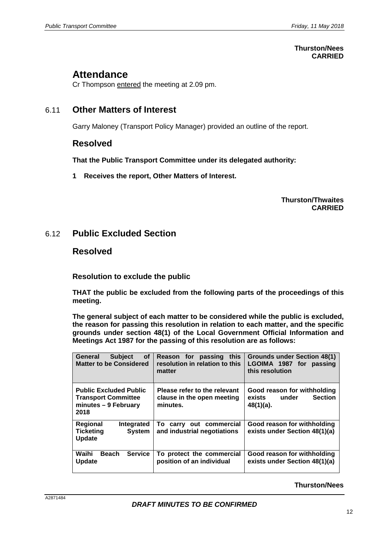#### **Thurston/Nees CARRIED**

# **Attendance**

Cr Thompson entered the meeting at 2.09 pm.

### 6.11 **Other Matters of Interest**

Garry Maloney (Transport Policy Manager) provided an outline of the report.

### **Resolved**

**That the Public Transport Committee under its delegated authority:**

**1 Receives the report, Other Matters of Interest.**

#### **Thurston/Thwaites CARRIED**

### 6.12 **Public Excluded Section**

### **Resolved**

**Resolution to exclude the public**

**THAT the public be excluded from the following parts of the proceedings of this meeting.**

**The general subject of each matter to be considered while the public is excluded, the reason for passing this resolution in relation to each matter, and the specific grounds under section 48(1) of the Local Government Official Information and Meetings Act 1987 for the passing of this resolution are as follows:**

| <b>Subject</b><br><b>of</b><br>General<br><b>Matter to be Considered</b>                    | Reason for passing this<br>resolution in relation to this<br>matter    | <b>Grounds under Section 48(1)</b><br>LGOIMA 1987 for passing<br>this resolution |
|---------------------------------------------------------------------------------------------|------------------------------------------------------------------------|----------------------------------------------------------------------------------|
| <b>Public Excluded Public</b><br><b>Transport Committee</b><br>minutes - 9 February<br>2018 | Please refer to the relevant<br>clause in the open meeting<br>minutes. | Good reason for withholding<br><b>Section</b><br>under<br>exists<br>$48(1)(a)$ . |
| <b>Regional</b><br>Integrated<br><b>Ticketing</b><br><b>System</b><br><b>Update</b>         | To carry out commercial<br>and industrial negotiations                 | Good reason for withholding<br>exists under Section 48(1)(a)                     |
| Waihi<br><b>Service</b><br><b>Beach</b><br>Update                                           | To protect the commercial<br>position of an individual                 | Good reason for withholding<br>exists under Section 48(1)(a)                     |

#### **Thurston/Nees**